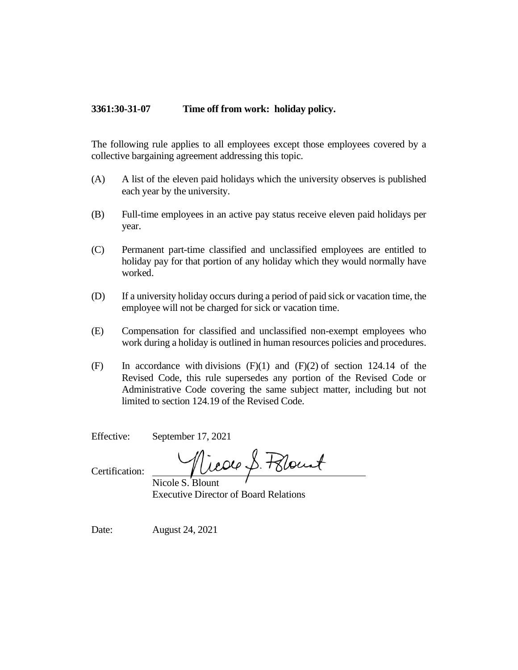## **3361:30-31-07 Time off from work: holiday policy.**

The following rule applies to all employees except those employees covered by a collective bargaining agreement addressing this topic.

- (A) A list of the eleven paid holidays which the university observes is published each year by the university.
- (B) Full-time employees in an active pay status receive eleven paid holidays per year.
- (C) Permanent part-time classified and unclassified employees are entitled to holiday pay for that portion of any holiday which they would normally have worked.
- (D) If a university holiday occurs during a period of paid sick or vacation time, the employee will not be charged for sick or vacation time.
- (E) Compensation for classified and unclassified non-exempt employees who work during a holiday is outlined in human resources policies and procedures.
- (F) In accordance with divisions  $(F)(1)$  and  $(F)(2)$  of section 124.14 of the Revised Code, this rule supersedes any portion of the Revised Code or Administrative Code covering the same subject matter, including but not limited to section 124.19 of the Revised Code.

Effective: September 17, 2021

Nicole S. Pelount

Certification:

Nicole S. Blount Executive Director of Board Relations

Date: August 24, 2021